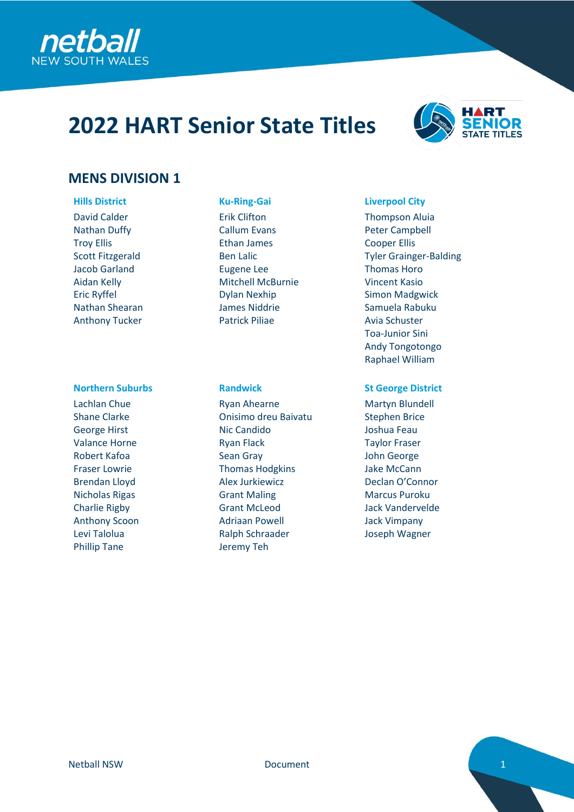

# **2022 HART Senior State Titles**



# **MENS DIVISION 1**

David Calder Nathan Duffy Troy Ellis Scott Fitzgerald Jacob Garland Aidan Kelly Eric Ryffel Nathan Shearan Anthony Tucker

## **Northern Suburbs Randwick St George District**

Lachlan Chue Shane Clarke George Hirst Valance Horne Robert Kafoa Fraser Lowrie Brendan Lloyd Nicholas Rigas Charlie Rigby Anthony Scoon Levi Talolua Phillip Tane

Erik Clifton Callum Evans Ethan James Ben Lalic Eugene Lee Mitchell McBurnie Dylan Nexhip James Niddrie Patrick Piliae

Ryan Ahearne Onisimo dreu Baivatu Nic Candido Ryan Flack Sean Gray Thomas Hodgkins Alex Jurkiewicz Grant Maling Grant McLeod Adriaan Powell Ralph Schraader Jeremy Teh

## **Hills District Ku-Ring-Gai Liverpool City**

Thompson Aluia Peter Campbell Cooper Ellis Tyler Grainger-Balding Thomas Horo Vincent Kasio Simon Madgwick Samuela Rabuku Avia Schuster Toa-Junior Sini Andy Tongotongo Raphael William

Martyn Blundell Stephen Brice Joshua Feau Taylor Fraser John George Jake McCann Declan O'Connor Marcus Puroku Jack Vandervelde Jack Vimpany Joseph Wagner